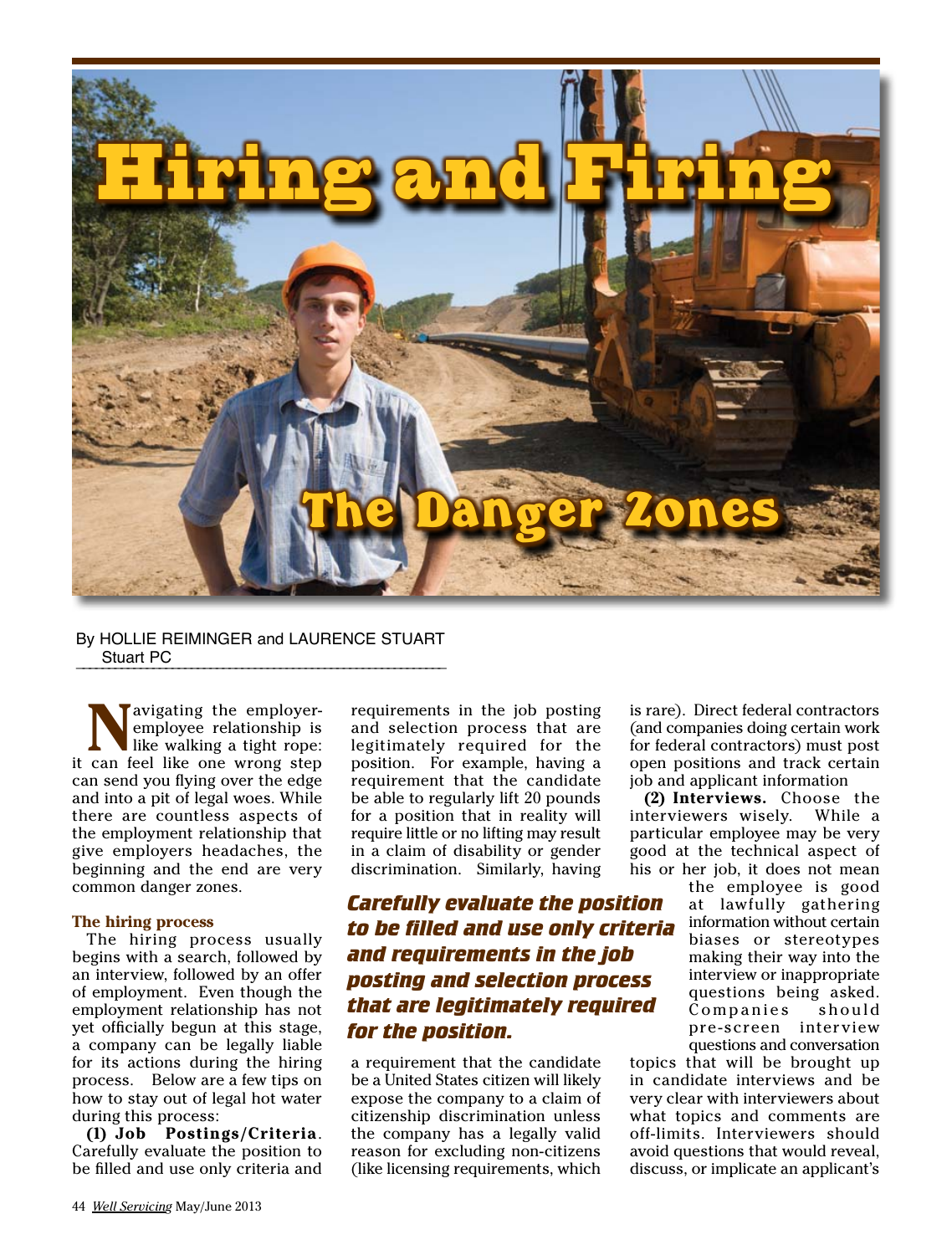

#### By HOLLIE REIMINGER and LAURENCE STUART Stuart PC

Navigating the employer-<br>
like walking a tight rope:<br>
can feel like one wrong stap employee relationship is it can feel like one wrong step can send you flying over the edge and into a pit of legal woes. While there are countless aspects of the employment relationship that give employers headaches, the beginning and the end are very common danger zones.

#### **The hiring process**

The hiring process usually begins with a search, followed by an interview, followed by an offer of employment. Even though the employment relationship has not yet officially begun at this stage, a company can be legally liable for its actions during the hiring process. Below are a few tips on how to stay out of legal hot water during this process:

**(1) Job Postings/Criteria**. Carefully evaluate the position to be filled and use only criteria and

requirements in the job posting and selection process that are legitimately required for the position. For example, having a requirement that the candidate be able to regularly lift 20 pounds for a position that in reality will require little or no lifting may result in a claim of disability or gender discrimination. Similarly, having

*Carefully evaluate the position to be filled and use only criteria and requirements in the job posting and selection process that are legitimately required for the position.*

a requirement that the candidate be a United States citizen will likely expose the company to a claim of citizenship discrimination unless the company has a legally valid reason for excluding non-citizens (like licensing requirements, which

is rare). Direct federal contractors (and companies doing certain work for federal contractors) must post open positions and track certain job and applicant information

**(2) Interviews.** Choose the interviewers wisely. While a particular employee may be very good at the technical aspect of his or her job, it does not mean

the employee is good at lawfully gathering information without certain biases or stereotypes making their way into the interview or inappropriate questions being asked. Companies should pre -screen interview questions and conversation

topics that will be brought up in candidate interviews and be very clear with interviewers about what topics and comments are off-limits. Interviewers should avoid questions that would reveal, discuss, or implicate an applicant's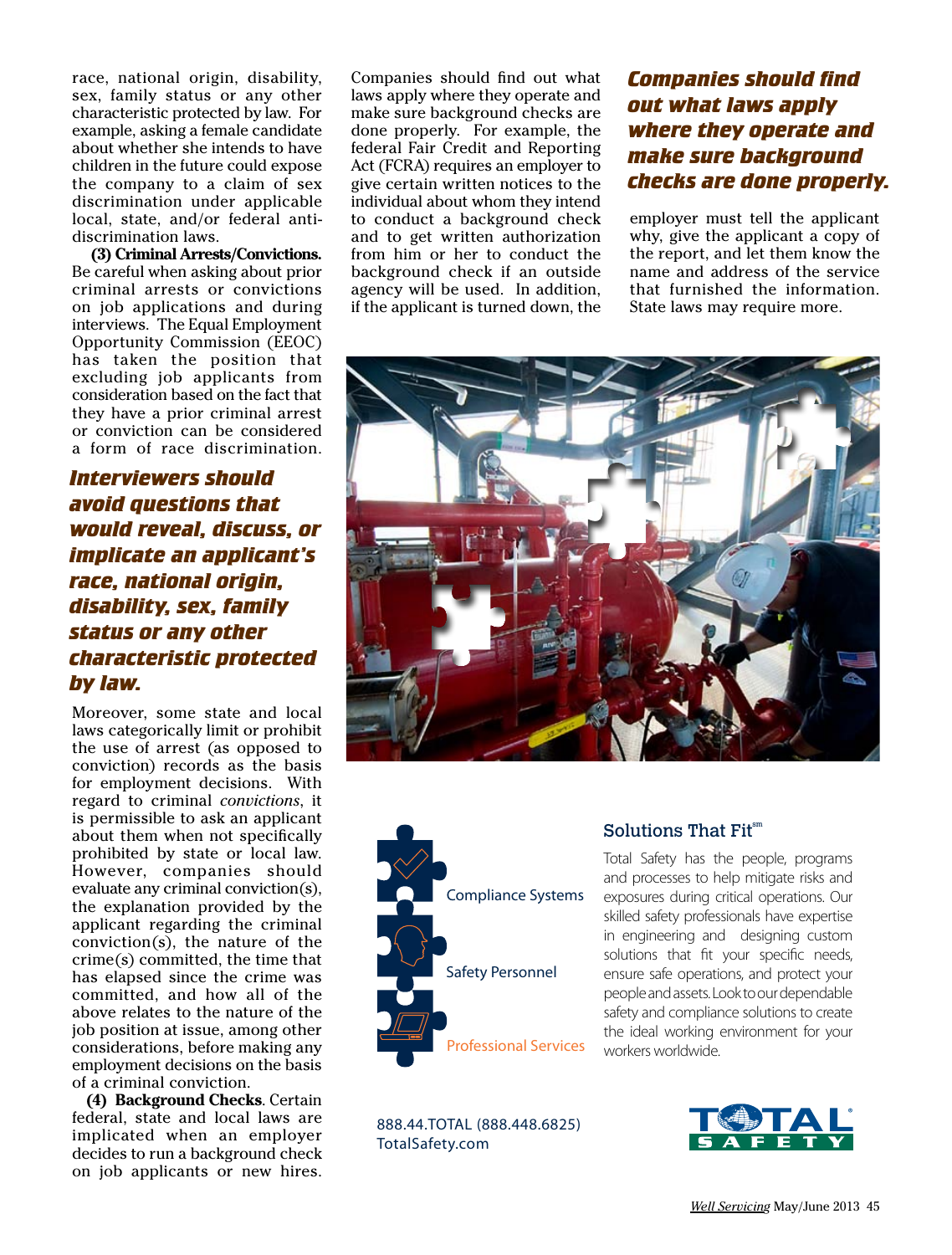race, national origin, disability, sex, family status or any other characteristic protected by law. For example, asking a female candidate about whether she intends to have children in the future could expose the company to a claim of sex discrimination under applicable local, state, and/or federal antidiscrimination laws.

**(3) Criminal Arrests/Convictions.**  Be careful when asking about prior criminal arrests or convictions on job applications and during interviews. The Equal Employment Opportunity Commission (EEOC) has taken the position that excluding job applicants from consideration based on the fact that they have a prior criminal arrest or conviction can be considered a form of race discrimination.

*Interviewers should avoid questions that would reveal, discuss, or implicate an applicant's race, national origin, disability, sex, family status or any other characteristic protected by law.*

Moreover, some state and local laws categorically limit or prohibit the use of arrest (as opposed to conviction) records as the basis for employment decisions. With regard to criminal *convictions*, it is permissible to ask an applicant about them when not specifically prohibited by state or local law. However, companies should evaluate any criminal conviction(s), the explanation provided by the applicant regarding the criminal conviction(s), the nature of the crime(s) committed, the time that has elapsed since the crime was committed, and how all of the above relates to the nature of the job position at issue, among other considerations, before making any employment decisions on the basis of a criminal conviction.

**(4) Background Checks**. Certain federal, state and local laws are implicated when an employer decides to run a background check on job applicants or new hires.

Companies should find out what laws apply where they operate and make sure background checks are done properly. For example, the federal Fair Credit and Reporting Act (FCRA) requires an employer to give certain written notices to the individual about whom they intend to conduct a background check and to get written authorization from him or her to conduct the background check if an outside agency will be used. In addition, if the applicant is turned down, the

### *Companies should find out what laws apply where they operate and make sure background checks are done properly.*

employer must tell the applicant why, give the applicant a copy of the report, and let them know the name and address of the service that furnished the information. State laws may require more.





888.44.TOTAL (888.448.6825) TotalSafety.com

### Solutions That Fit<sup>sm</sup>

Total Safety has the people, programs and processes to help mitigate risks and exposures during critical operations. Our skilled safety professionals have expertise in engineering and designing custom solutions that fit your specific needs, ensure safe operations, and protect your people and assets. Look to our dependable safety and compliance solutions to create the ideal working environment for your workers worldwide.

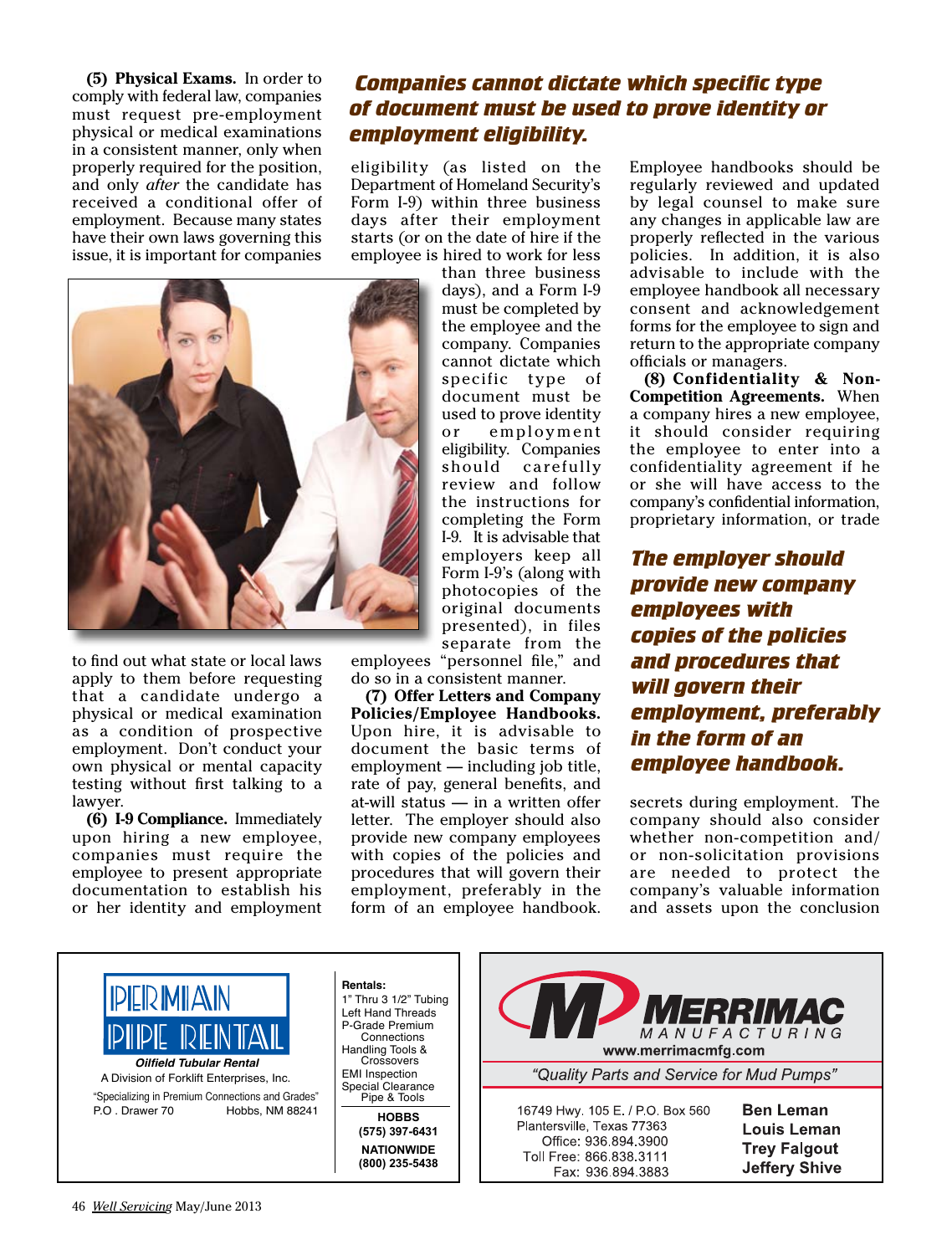**(5) Physical Exams.** In order to comply with federal law, companies must request pre-employment physical or medical examinations in a consistent manner, only when properly required for the position, and only *after* the candidate has received a conditional offer of employment. Because many states have their own laws governing this issue, it is important for companies

### *Companies cannot dictate which specific type of document must be used to prove identity or employment eligibility.*

eligibility (as listed on the Department of Homeland Security's Form I-9) within three business days after their employment starts (or on the date of hire if the employee is hired to work for less



to find out what state or local laws apply to them before requesting that a candidate undergo a physical or medical examination as a condition of prospective employment. Don't conduct your own physical or mental capacity testing without first talking to a lawyer.

**(6) I-9 Compliance.** Immediately upon hiring a new employee, companies must require the employee to present appropriate documentation to establish his or her identity and employment

than three business days), and a Form I-9 must be completed by the employee and the company. Companies cannot dictate which specific type of document must be used to prove identity or employment eligibility. Companies should carefully review and follow the instructions for completing the Form I-9. It is advisable that employers keep all Form I-9's (along with photocopies of the original documents presented), in files separate from the

employees "personnel file," and do so in a consistent manner.

**(7) Offer Letters and Company Policies/Employee Handbooks.**  Upon hire, it is advisable to document the basic terms of employment — including job title, rate of pay, general benefits, and at-will status — in a written offer letter. The employer should also provide new company employees with copies of the policies and procedures that will govern their employment, preferably in the form of an employee handbook.

Employee handbooks should be regularly reviewed and updated by legal counsel to make sure any changes in applicable law are properly reflected in the various policies. In addition, it is also advisable to include with the employee handbook all necessary consent and acknowledgement forms for the employee to sign and return to the appropriate company officials or managers.

**(8) Confidentiality & Non-Competition Agreements.** When a company hires a new employee, it should consider requiring the employee to enter into a confidentiality agreement if he or she will have access to the company's confidential information, proprietary information, or trade

*The employer should provide new company employees with copies of the policies and procedures that will govern their employment, preferably in the form of an employee handbook.* 

secrets during employment. The company should also consider whether non-competition and/ or non-solicitation provisions are needed to protect the company's valuable information and assets upon the conclusion

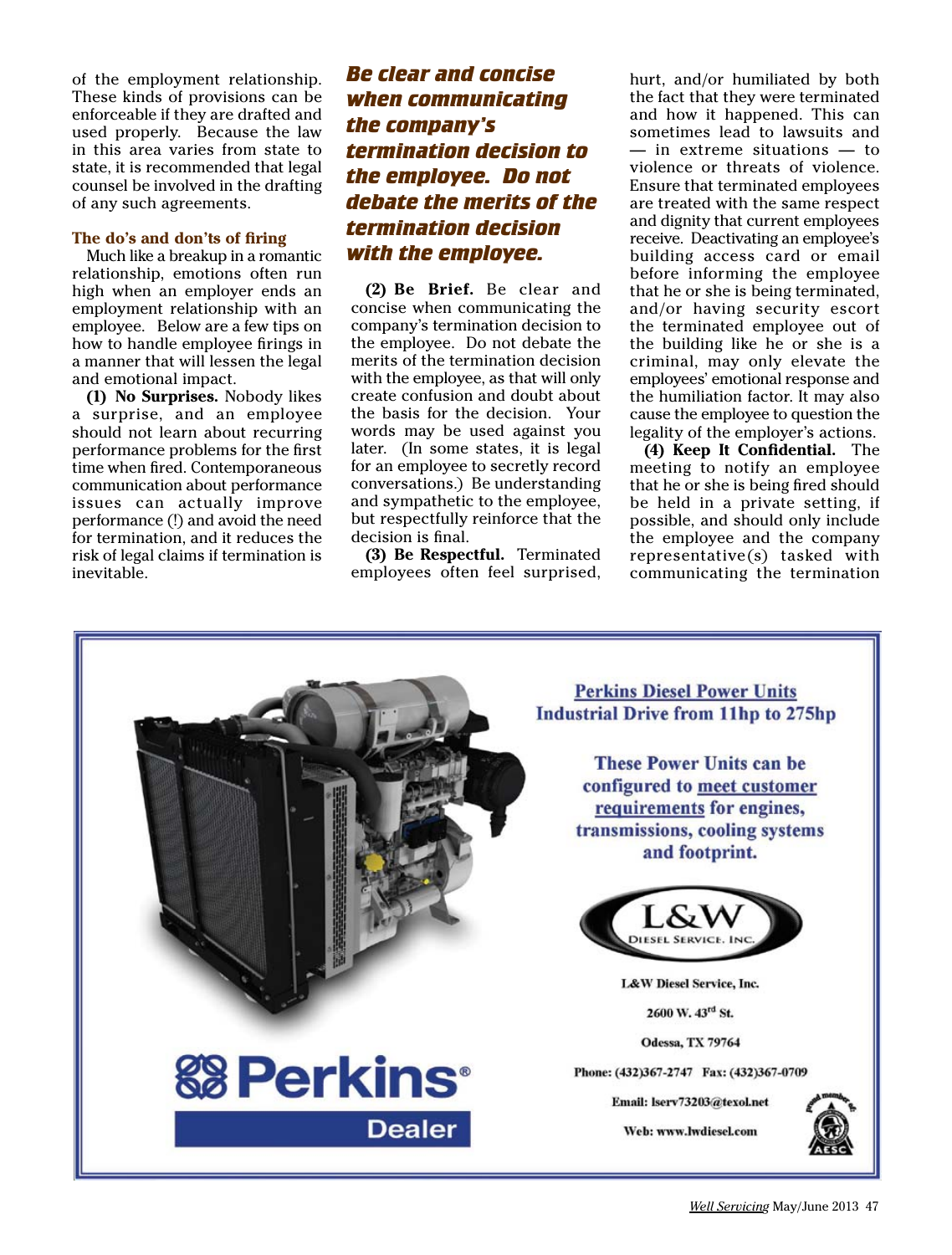of the employment relationship. These kinds of provisions can be enforceable if they are drafted and used properly. Because the law in this area varies from state to state, it is recommended that legal counsel be involved in the drafting of any such agreements.

#### **The do's and don'ts of firing**

Much like a breakup in a romantic relationship, emotions often run high when an employer ends an employment relationship with an employee. Below are a few tips on how to handle employee firings in a manner that will lessen the legal and emotional impact.

**(1) No Surprises.** Nobody likes a surprise, and an employee should not learn about recurring performance problems for the first time when fired. Contemporaneous communication about performance issues can actually improve performance (!) and avoid the need for termination, and it reduces the risk of legal claims if termination is inevitable.

### *Be clear and concise when communicating the company's termination decision to the employee. Do not debate the merits of the termination decision with the employee.*

**(2) Be Brief.** Be clear and concise when communicating the company's termination decision to the employee. Do not debate the merits of the termination decision with the employee, as that will only create confusion and doubt about the basis for the decision. Your words may be used against you later. (In some states, it is legal for an employee to secretly record conversations.) Be understanding and sympathetic to the employee, but respectfully reinforce that the decision is final.

**(3) Be Respectful.** Terminated employees often feel surprised, hurt, and/or humiliated by both the fact that they were terminated and how it happened. This can sometimes lead to lawsuits and — in extreme situations — to violence or threats of violence. Ensure that terminated employees are treated with the same respect and dignity that current employees receive. Deactivating an employee's building access card or email before informing the employee that he or she is being terminated, and/or having security escort the terminated employee out of the building like he or she is a criminal, may only elevate the employees' emotional response and the humiliation factor. It may also cause the employee to question the legality of the employer's actions.

**(4) Keep It Confidential.** The meeting to notify an employee that he or she is being fired should be held in a private setting, if possible, and should only include the employee and the company representative(s) tasked with communicating the termination